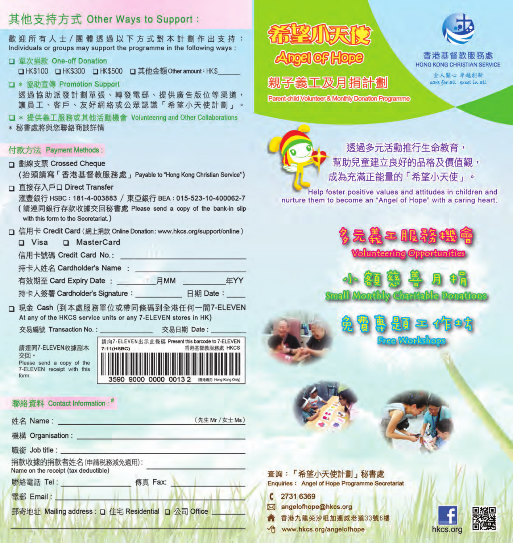## 其他支持方式 Other Ways to Support:

歡迎所有人士/團體透過以下方式對本計劃作出支持: Individuals or groups may support the programme in the following ways:

#### 口 單次捐款 One-off Donation

□HK\$100 □HK\$300 □HK\$500 □其他金額Otheramount:HK\$

口 \* 協助宣傳 Promotion Support 透過協助派發計劃單張、轉發電郵、提供廣告版位等渠道, 讓員工、客戶、友好網絡或公眾認識「希望小天使計劃」

□ \* 提供義工服務或其他活動機會 Volunteering and Other Collaborations \* 秘書處將與您聯絡商談詳情

- 付款方法 Payment Methods:
- □ 劃線支票 Crossed Cheque

(抬頭請寫「香港基督教服務處」Payable to "Hong Kong Christian Service")

□ 直接存入戶口 Direct Transfer

滙豐銀行 HSBC: 181-4-003883 / 東亞銀行 BEA: 015-523-10-400062-7 (請連同銀行存款收據交回秘書處 Please send a copy of the bank-in slip with this form to the Secretariat.)

- - D MasterCard  $\n **D Visa**\n$
	- 信用卡號碼 Credit Card No.:
	- 持卡人姓名 Cardholder's Name:

有效期至 Card Expiry Date: 日MM 4 年YY

持卡人簽署 Cardholder's Signature : 日期 Date :

□ 現金 Cash (到本處服務單位或帶同條碼到全港任何一間7-ELEVEN At any of the HKCS service units or any 7-ELEVEN stores in HK)

交易編號 Transaction No.:

請連同7-ELEVEN收據副本 交回。 Please send a copy of the 7-ELEVEN receipt with this form



交易日期 Date:

#### 聯絡資料 Contact Information:<sup>#</sup>

| 姓名 Name:                                                      |         | (先生 Mr / 女士 Ms) |
|---------------------------------------------------------------|---------|-----------------|
| 機構 Organisation:                                              |         |                 |
| 職銜 Job title : the control                                    |         |                 |
| 捐款收據的捐款者姓名(申請税務減免適用):<br>Name on the receipt (tax deductible) |         |                 |
| 聯絡電話 Tel:                                                     | 傳真 Fax: |                 |
| 電郵 Email:                                                     |         |                 |
| 郵寄地址 Mailing address : □ 住宅 Residential □ 公司 Office           |         |                 |



# 親子義工及月捐計劃

Parent-child Volunteer & Monthly Donation Programme



HONG KONG CHRISTIAN SERVICE

> 全人間心 卓越創新 care for all excel in all

诱過多元活動推行生命教育, **堼助兒童建立良好的品格及價值觀,** 成為充滿正能量的「希望小天使」。

Help foster positive values and attitudes in children and nurture them to become an "Angel of Hope" with a caring heart.



**Small Monthly Charttable Donations** 

### 查詢:「希望小天使計劃」秘書處 **Enquiries: Angel of Hope Programme Secretariat**

- 2731 6369  $\epsilon$
- **M** angelofhope@hkcs.org
	- 香港九龍尖沙咀加連威老道33號6樓
- ← www.hkcs.org/angelofhope



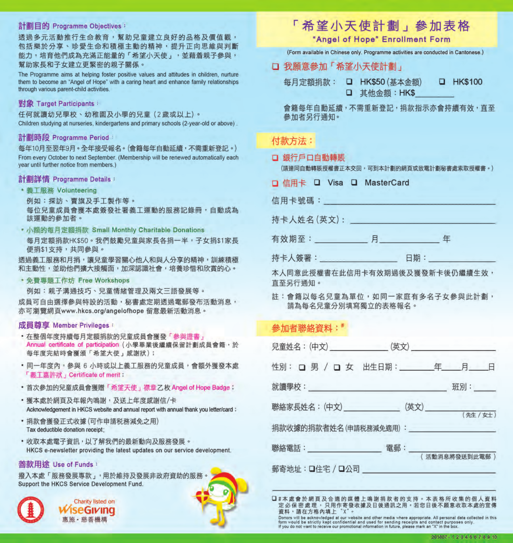#### 計劃目的 Programme Objectives:

诱過多元活動推行生命教育,幫助兒童建立良好的品格及價值觀, 包括樂於分享、珍愛生命和積極主動的精神,提升正向思維與判斷 能力,培育他們成為充滿正能量的「希望小天使」,並藉着親子參與, 幫助家長和子女建立更緊密的親子關係。

The Programme aims at helping foster positive values and attitudes in children, nurture them to become an "Angel of Hope" with a caring heart and enhance family relationships through various parent-child activities.

#### 對象 Target Participants:

任何就讀幼兒學校、幼稚園及小學的兒童(2歲或以上)。 Children studying at nurseries, kindergartens and primary schools (2-year-old or above)

#### 計劃時段 Programme Period

每年10月至翌年9月。全年接受報名。(會籍每年白動延續,不需重新登記。) From every October to next September. (Membership will be renewed automatically each year until further notice from members.)

#### 計劃詳情 Programme Details:

- · 義工服務 Volunteering
- 例如:探訪、賣旗及手工製作等。

每位兒童成員會獲本處簽發社署義工運動的服務記錄冊,自動成為 該運動的參加者。

• 小額的每月定額捐款 Small Monthly Charitable Donations 每月定箱捐款HK\$50。我們鼓勵兒童與家長各捐一半,子女捐\$1家長 便捐\$1支持,共同參與。

透過義工服務和月捐,讓兒童學習關心他人和與人分享的精神,訓練積極 和主動性,並助他們擴大接觸面,加深認識社會,培養珍惜和欣嘗的心。

· 免費專題工作坊 Free Workshops

例如:親子溝通技巧、兒童情緒管理及兩文三語發展等。 成員可白由撰擇參與特設的活動,秘書處定期透過電郵發布活動消息, 亦可瀏覽網頁www.hkcs.org/angelofhope 留意最新活動消息。

#### 成員尊享 Member Privileges:

- · 在整個年度持續每月定額捐款的兒童成員會獲發「参與證書」 Annual certificate of participation (小學畢業後繼續保留計劃成員會籍,於 每年度完結時會獲頒「希望大使」感謝狀);
- · 同一年度內, 參與 6 小時或以上義工服務的兒童成員, 會額外獲發本處 「義丁藁許狀」Certificate of merit:
- · 首次參加的兒童成員會獲贈「希望天使」襟章乙枚 Angel of Hope Badge;
- · 獲本處於網頁及年報內鳴謝, 及送上年度感謝信/卡 Acknowledgement in HKCS website and annual report with annual thank you letter/card :
- · 捐款會獲發正式收據(可作申請税務減免之用) Tax deductible donation receipt:
- · 收取本處電子資訊, 以了解我們的最新動向及服務發展。 HKCS e-newsletter providing the latest updates on our service development.

#### 善款用涂 Use of Funds:

撥入本處「服務發展專款」,用於維持及發展非政府資助的服務 Support the HKCS Service Development Fund.

|   | ł.     |  |
|---|--------|--|
|   |        |  |
|   | ٠<br>٠ |  |
|   | ı      |  |
| ł |        |  |
|   | ÷      |  |

Charity listed on **iseGivina** 惠施· 慈善機構

## 「希望小天使計劃」參加表格

"Angel of Hope" Enrollment Form

(Form available in Chinese only, Programme activities are conducted in Cantonese.)

□ 我願意參加「希望小天使計劃」

每月定額捐款: □ HK\$50 (基本金額) **D HK\$100** 口 其他金額:HK\$

會籍每年自動延續,不需重新登記,捐款指示亦會持續有效,直至 參加者另行涌知。

## 付款方法:

### □ 銀行戶口自動轉賬

(請連同自動轉賬授權書正本交回,可到本計劃的網頁或致電計劃秘書處索取授權書。)

| 口 信用卡 |  |  |  |  | □ Visa □ MasterCard |
|-------|--|--|--|--|---------------------|
|-------|--|--|--|--|---------------------|

| 信用卡號碼:     |   |    |   |
|------------|---|----|---|
| 持卡人姓名(英文): |   |    |   |
| 有效期至:      | ᆸ |    | 仠 |
| 持卡人簽署:     |   | 日期 |   |

本人同意此授權書在此信用卡有效期過後及獲發新卡後仍繼續生效, 直至另行涌知。

註:會籍以每名兒童為單位,如同一家庭有多名子女參與此計劃, 請為每名兒童分別填寫獨立的表格報名。

## 參加者聯絡資料:#

| 性別: 口男 / 口 女 出生日期: ________年_____月____日 |                |
|-----------------------------------------|----------------|
|                                         | 班別:            |
| 聯絡家長姓名: (中文)                            | (英文) (先生 / 女士) |
| 捐款收據的捐款者姓名(申請税務減免適用): 2000年10月11日       |                |
|                                         | (活動消息將發送到此電郵)  |
|                                         |                |

口#本處會於網頁及合適的媒體上鳴謝捐款者的支持。本表格所收集的個人資料 定必保密處理,只用作寄發收據及日後通訊之用。若您日後不願意收取本處的宣傳 資料,請在方格內填上 X'

Donors will be acknowledged at our website and other media where appropriate. All personal data collected in this<br>form would be strictly kept confidential and used for sending receipts and contact purposes only.<br>If you do